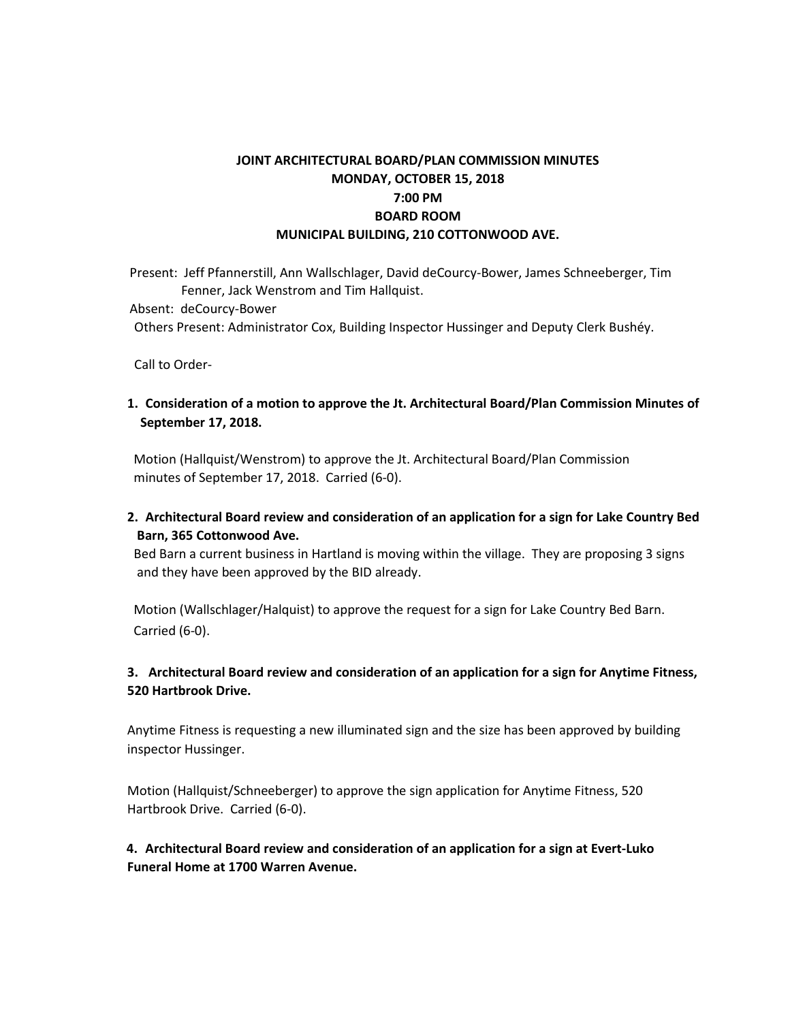# **JOINT ARCHITECTURAL BOARD/PLAN COMMISSION MINUTES MONDAY, OCTOBER 15, 2018 7:00 PM BOARD ROOM MUNICIPAL BUILDING, 210 COTTONWOOD AVE.**

Present: Jeff Pfannerstill, Ann Wallschlager, David deCourcy-Bower, James Schneeberger, Tim Fenner, Jack Wenstrom and Tim Hallquist.

Absent: deCourcy-Bower

Others Present: Administrator Cox, Building Inspector Hussinger and Deputy Clerk Bushéy.

Call to Order-

**1. Consideration of a motion to approve the Jt. Architectural Board/Plan Commission Minutes of September 17, 2018.**

Motion (Hallquist/Wenstrom) to approve the Jt. Architectural Board/Plan Commission minutes of September 17, 2018. Carried (6-0).

**2. Architectural Board review and consideration of an application for a sign for Lake Country Bed Barn, 365 Cottonwood Ave.**

 Bed Barn a current business in Hartland is moving within the village. They are proposing 3 signs and they have been approved by the BID already.

 Motion (Wallschlager/Halquist) to approve the request for a sign for Lake Country Bed Barn. Carried (6-0).

### **3. Architectural Board review and consideration of an application for a sign for Anytime Fitness, 520 Hartbrook Drive.**

Anytime Fitness is requesting a new illuminated sign and the size has been approved by building inspector Hussinger.

Motion (Hallquist/Schneeberger) to approve the sign application for Anytime Fitness, 520 Hartbrook Drive. Carried (6-0).

**4. Architectural Board review and consideration of an application for a sign at Evert-Luko Funeral Home at 1700 Warren Avenue.**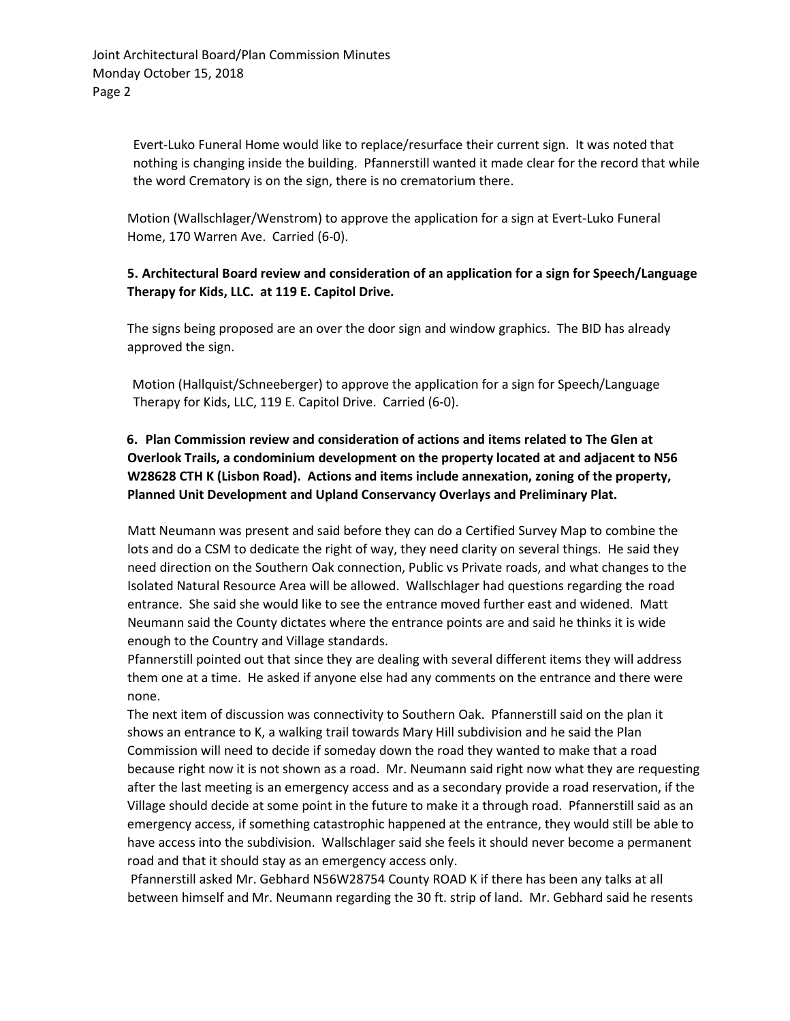Evert-Luko Funeral Home would like to replace/resurface their current sign. It was noted that nothing is changing inside the building. Pfannerstill wanted it made clear for the record that while the word Crematory is on the sign, there is no crematorium there.

Motion (Wallschlager/Wenstrom) to approve the application for a sign at Evert-Luko Funeral Home, 170 Warren Ave. Carried (6-0).

#### **5. Architectural Board review and consideration of an application for a sign for Speech/Language Therapy for Kids, LLC. at 119 E. Capitol Drive.**

The signs being proposed are an over the door sign and window graphics. The BID has already approved the sign.

Motion (Hallquist/Schneeberger) to approve the application for a sign for Speech/Language Therapy for Kids, LLC, 119 E. Capitol Drive. Carried (6-0).

### **6. Plan Commission review and consideration of actions and items related to The Glen at Overlook Trails, a condominium development on the property located at and adjacent to N56 W28628 CTH K (Lisbon Road). Actions and items include annexation, zoning of the property, Planned Unit Development and Upland Conservancy Overlays and Preliminary Plat.**

Matt Neumann was present and said before they can do a Certified Survey Map to combine the lots and do a CSM to dedicate the right of way, they need clarity on several things. He said they need direction on the Southern Oak connection, Public vs Private roads, and what changes to the Isolated Natural Resource Area will be allowed. Wallschlager had questions regarding the road entrance. She said she would like to see the entrance moved further east and widened. Matt Neumann said the County dictates where the entrance points are and said he thinks it is wide enough to the Country and Village standards.

Pfannerstill pointed out that since they are dealing with several different items they will address them one at a time. He asked if anyone else had any comments on the entrance and there were none.

The next item of discussion was connectivity to Southern Oak. Pfannerstill said on the plan it shows an entrance to K, a walking trail towards Mary Hill subdivision and he said the Plan Commission will need to decide if someday down the road they wanted to make that a road because right now it is not shown as a road. Mr. Neumann said right now what they are requesting after the last meeting is an emergency access and as a secondary provide a road reservation, if the Village should decide at some point in the future to make it a through road. Pfannerstill said as an emergency access, if something catastrophic happened at the entrance, they would still be able to have access into the subdivision. Wallschlager said she feels it should never become a permanent road and that it should stay as an emergency access only.

Pfannerstill asked Mr. Gebhard N56W28754 County ROAD K if there has been any talks at all between himself and Mr. Neumann regarding the 30 ft. strip of land. Mr. Gebhard said he resents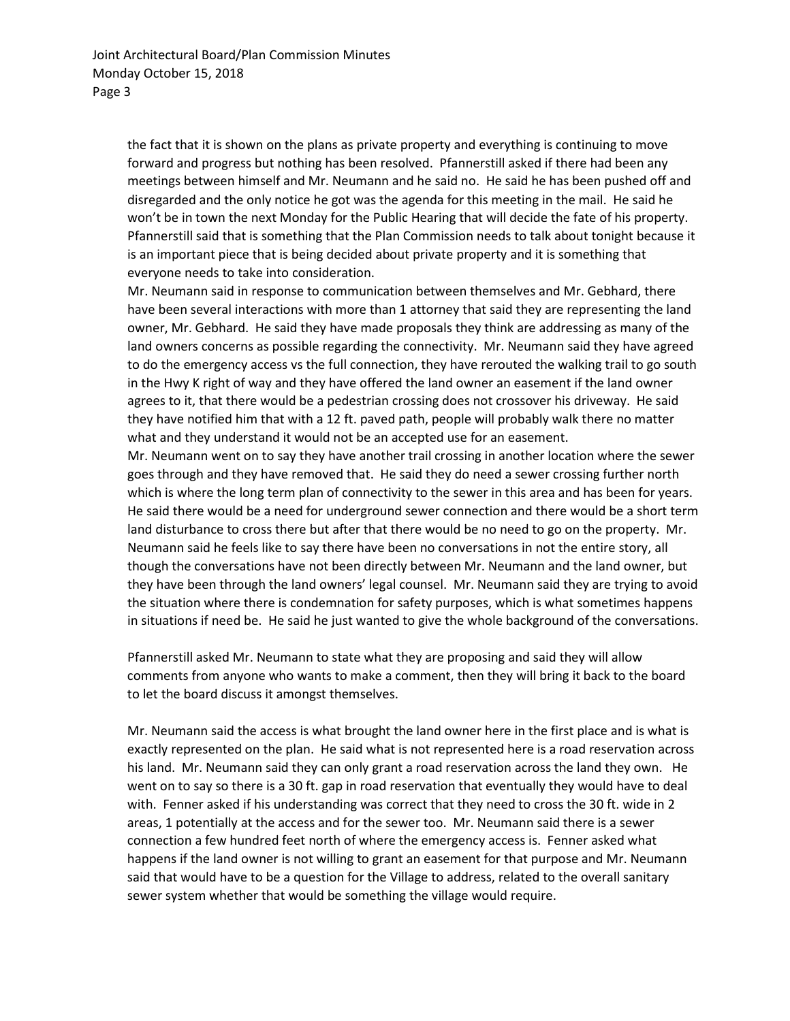the fact that it is shown on the plans as private property and everything is continuing to move forward and progress but nothing has been resolved. Pfannerstill asked if there had been any meetings between himself and Mr. Neumann and he said no. He said he has been pushed off and disregarded and the only notice he got was the agenda for this meeting in the mail. He said he won't be in town the next Monday for the Public Hearing that will decide the fate of his property. Pfannerstill said that is something that the Plan Commission needs to talk about tonight because it is an important piece that is being decided about private property and it is something that everyone needs to take into consideration.

Mr. Neumann said in response to communication between themselves and Mr. Gebhard, there have been several interactions with more than 1 attorney that said they are representing the land owner, Mr. Gebhard. He said they have made proposals they think are addressing as many of the land owners concerns as possible regarding the connectivity. Mr. Neumann said they have agreed to do the emergency access vs the full connection, they have rerouted the walking trail to go south in the Hwy K right of way and they have offered the land owner an easement if the land owner agrees to it, that there would be a pedestrian crossing does not crossover his driveway. He said they have notified him that with a 12 ft. paved path, people will probably walk there no matter what and they understand it would not be an accepted use for an easement.

Mr. Neumann went on to say they have another trail crossing in another location where the sewer goes through and they have removed that. He said they do need a sewer crossing further north which is where the long term plan of connectivity to the sewer in this area and has been for years. He said there would be a need for underground sewer connection and there would be a short term land disturbance to cross there but after that there would be no need to go on the property. Mr. Neumann said he feels like to say there have been no conversations in not the entire story, all though the conversations have not been directly between Mr. Neumann and the land owner, but they have been through the land owners' legal counsel. Mr. Neumann said they are trying to avoid the situation where there is condemnation for safety purposes, which is what sometimes happens in situations if need be. He said he just wanted to give the whole background of the conversations.

Pfannerstill asked Mr. Neumann to state what they are proposing and said they will allow comments from anyone who wants to make a comment, then they will bring it back to the board to let the board discuss it amongst themselves.

Mr. Neumann said the access is what brought the land owner here in the first place and is what is exactly represented on the plan. He said what is not represented here is a road reservation across his land. Mr. Neumann said they can only grant a road reservation across the land they own. He went on to say so there is a 30 ft. gap in road reservation that eventually they would have to deal with. Fenner asked if his understanding was correct that they need to cross the 30 ft. wide in 2 areas, 1 potentially at the access and for the sewer too. Mr. Neumann said there is a sewer connection a few hundred feet north of where the emergency access is. Fenner asked what happens if the land owner is not willing to grant an easement for that purpose and Mr. Neumann said that would have to be a question for the Village to address, related to the overall sanitary sewer system whether that would be something the village would require.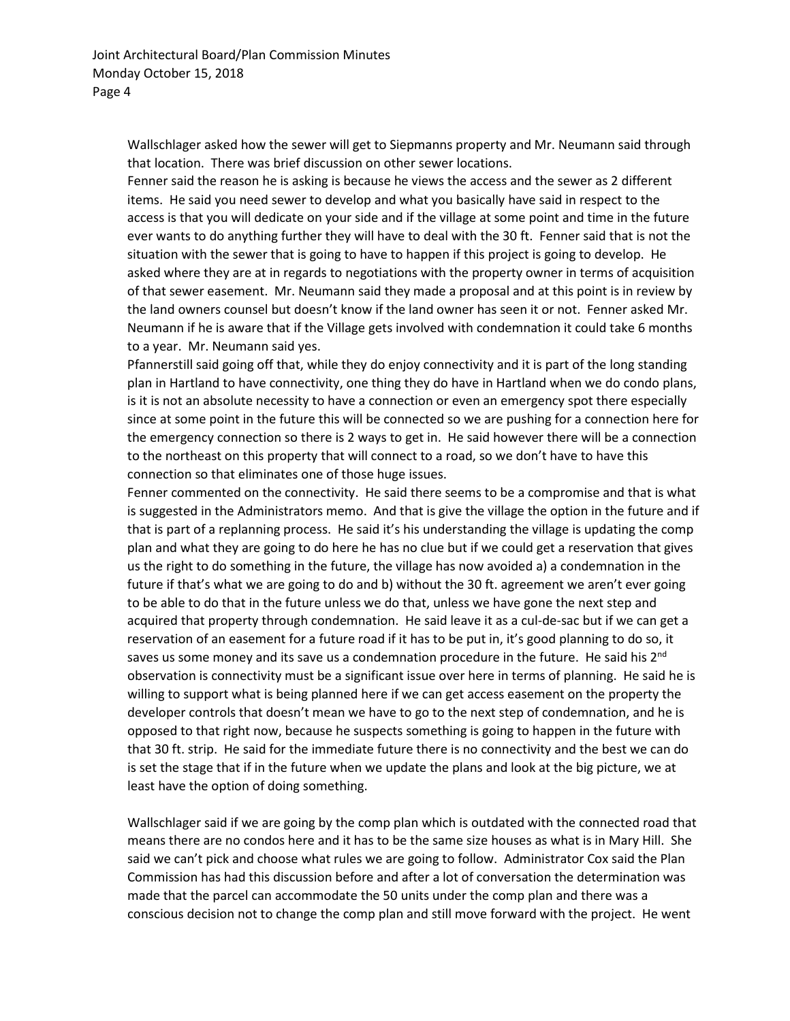Wallschlager asked how the sewer will get to Siepmanns property and Mr. Neumann said through that location. There was brief discussion on other sewer locations.

Fenner said the reason he is asking is because he views the access and the sewer as 2 different items. He said you need sewer to develop and what you basically have said in respect to the access is that you will dedicate on your side and if the village at some point and time in the future ever wants to do anything further they will have to deal with the 30 ft. Fenner said that is not the situation with the sewer that is going to have to happen if this project is going to develop. He asked where they are at in regards to negotiations with the property owner in terms of acquisition of that sewer easement. Mr. Neumann said they made a proposal and at this point is in review by the land owners counsel but doesn't know if the land owner has seen it or not. Fenner asked Mr. Neumann if he is aware that if the Village gets involved with condemnation it could take 6 months to a year. Mr. Neumann said yes.

Pfannerstill said going off that, while they do enjoy connectivity and it is part of the long standing plan in Hartland to have connectivity, one thing they do have in Hartland when we do condo plans, is it is not an absolute necessity to have a connection or even an emergency spot there especially since at some point in the future this will be connected so we are pushing for a connection here for the emergency connection so there is 2 ways to get in. He said however there will be a connection to the northeast on this property that will connect to a road, so we don't have to have this connection so that eliminates one of those huge issues.

Fenner commented on the connectivity. He said there seems to be a compromise and that is what is suggested in the Administrators memo. And that is give the village the option in the future and if that is part of a replanning process. He said it's his understanding the village is updating the comp plan and what they are going to do here he has no clue but if we could get a reservation that gives us the right to do something in the future, the village has now avoided a) a condemnation in the future if that's what we are going to do and b) without the 30 ft. agreement we aren't ever going to be able to do that in the future unless we do that, unless we have gone the next step and acquired that property through condemnation. He said leave it as a cul-de-sac but if we can get a reservation of an easement for a future road if it has to be put in, it's good planning to do so, it saves us some money and its save us a condemnation procedure in the future. He said his 2<sup>nd</sup> observation is connectivity must be a significant issue over here in terms of planning. He said he is willing to support what is being planned here if we can get access easement on the property the developer controls that doesn't mean we have to go to the next step of condemnation, and he is opposed to that right now, because he suspects something is going to happen in the future with that 30 ft. strip. He said for the immediate future there is no connectivity and the best we can do is set the stage that if in the future when we update the plans and look at the big picture, we at least have the option of doing something.

Wallschlager said if we are going by the comp plan which is outdated with the connected road that means there are no condos here and it has to be the same size houses as what is in Mary Hill. She said we can't pick and choose what rules we are going to follow. Administrator Cox said the Plan Commission has had this discussion before and after a lot of conversation the determination was made that the parcel can accommodate the 50 units under the comp plan and there was a conscious decision not to change the comp plan and still move forward with the project. He went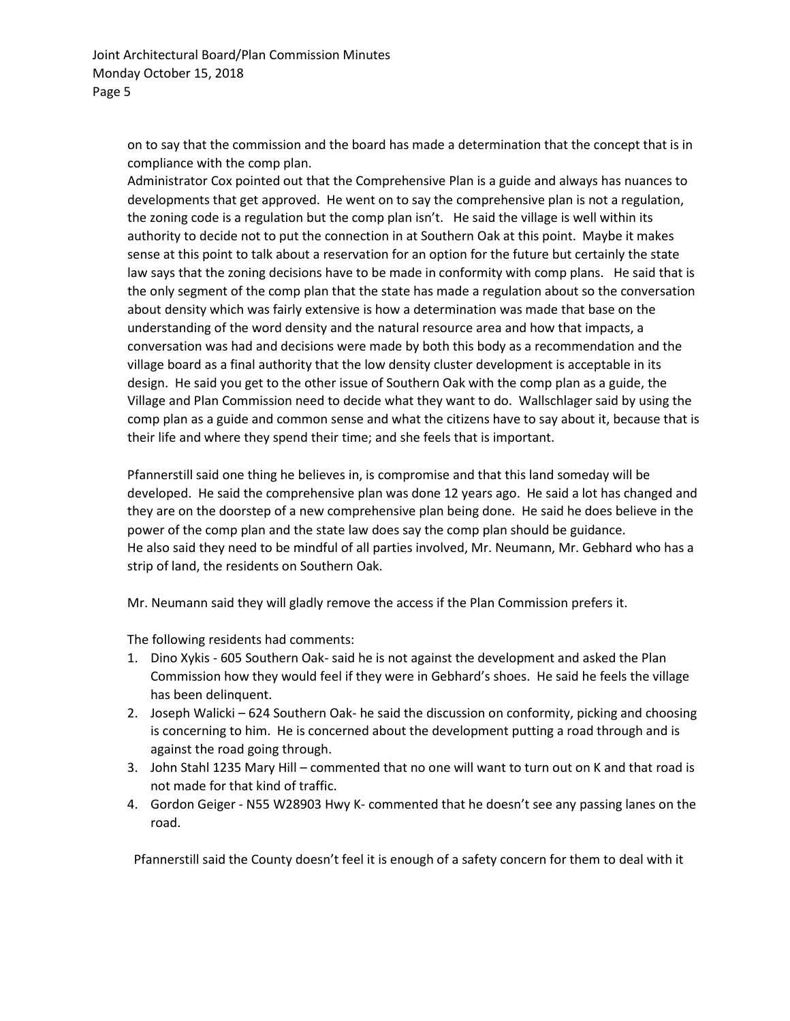on to say that the commission and the board has made a determination that the concept that is in compliance with the comp plan.

Administrator Cox pointed out that the Comprehensive Plan is a guide and always has nuances to developments that get approved. He went on to say the comprehensive plan is not a regulation, the zoning code is a regulation but the comp plan isn't. He said the village is well within its authority to decide not to put the connection in at Southern Oak at this point. Maybe it makes sense at this point to talk about a reservation for an option for the future but certainly the state law says that the zoning decisions have to be made in conformity with comp plans. He said that is the only segment of the comp plan that the state has made a regulation about so the conversation about density which was fairly extensive is how a determination was made that base on the understanding of the word density and the natural resource area and how that impacts, a conversation was had and decisions were made by both this body as a recommendation and the village board as a final authority that the low density cluster development is acceptable in its design. He said you get to the other issue of Southern Oak with the comp plan as a guide, the Village and Plan Commission need to decide what they want to do. Wallschlager said by using the comp plan as a guide and common sense and what the citizens have to say about it, because that is their life and where they spend their time; and she feels that is important.

Pfannerstill said one thing he believes in, is compromise and that this land someday will be developed. He said the comprehensive plan was done 12 years ago. He said a lot has changed and they are on the doorstep of a new comprehensive plan being done. He said he does believe in the power of the comp plan and the state law does say the comp plan should be guidance. He also said they need to be mindful of all parties involved, Mr. Neumann, Mr. Gebhard who has a strip of land, the residents on Southern Oak.

Mr. Neumann said they will gladly remove the access if the Plan Commission prefers it.

The following residents had comments:

- 1. Dino Xykis 605 Southern Oak- said he is not against the development and asked the Plan Commission how they would feel if they were in Gebhard's shoes. He said he feels the village has been delinquent.
- 2. Joseph Walicki 624 Southern Oak- he said the discussion on conformity, picking and choosing is concerning to him. He is concerned about the development putting a road through and is against the road going through.
- 3. John Stahl 1235 Mary Hill commented that no one will want to turn out on K and that road is not made for that kind of traffic.
- 4. Gordon Geiger N55 W28903 Hwy K- commented that he doesn't see any passing lanes on the road.

Pfannerstill said the County doesn't feel it is enough of a safety concern for them to deal with it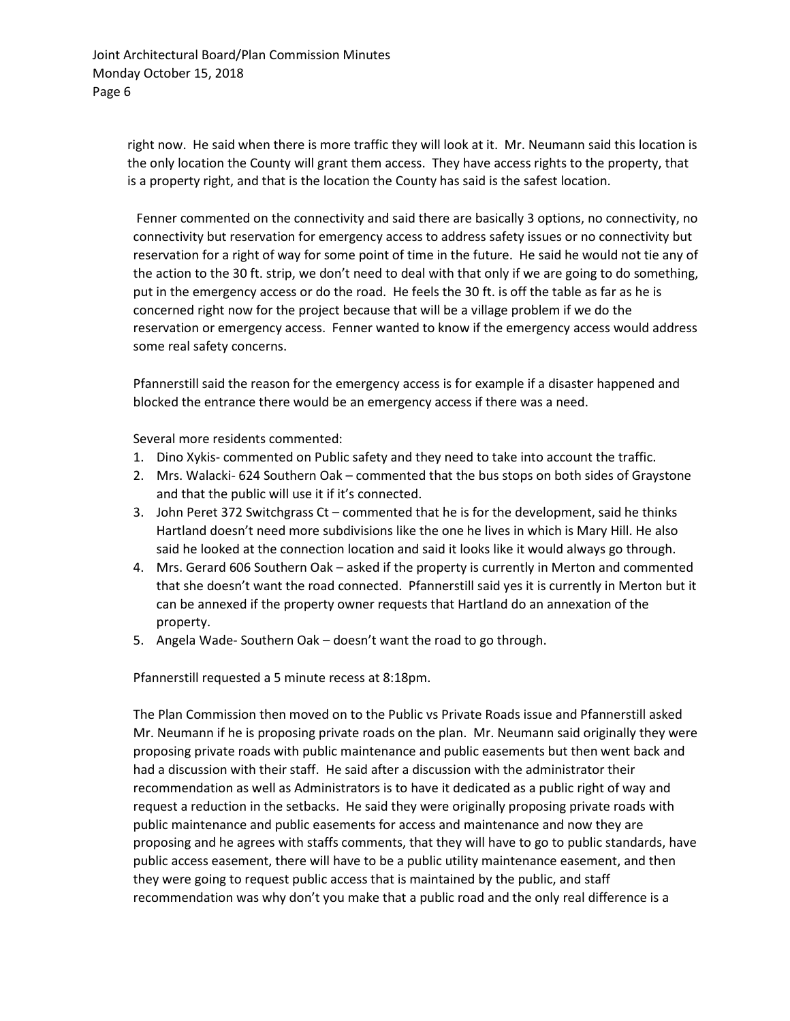right now. He said when there is more traffic they will look at it. Mr. Neumann said this location is the only location the County will grant them access. They have access rights to the property, that is a property right, and that is the location the County has said is the safest location.

Fenner commented on the connectivity and said there are basically 3 options, no connectivity, no connectivity but reservation for emergency access to address safety issues or no connectivity but reservation for a right of way for some point of time in the future. He said he would not tie any of the action to the 30 ft. strip, we don't need to deal with that only if we are going to do something, put in the emergency access or do the road. He feels the 30 ft. is off the table as far as he is concerned right now for the project because that will be a village problem if we do the reservation or emergency access. Fenner wanted to know if the emergency access would address some real safety concerns.

Pfannerstill said the reason for the emergency access is for example if a disaster happened and blocked the entrance there would be an emergency access if there was a need.

Several more residents commented:

- 1. Dino Xykis- commented on Public safety and they need to take into account the traffic.
- 2. Mrs. Walacki- 624 Southern Oak commented that the bus stops on both sides of Graystone and that the public will use it if it's connected.
- 3. John Peret 372 Switchgrass Ct commented that he is for the development, said he thinks Hartland doesn't need more subdivisions like the one he lives in which is Mary Hill. He also said he looked at the connection location and said it looks like it would always go through.
- 4. Mrs. Gerard 606 Southern Oak asked if the property is currently in Merton and commented that she doesn't want the road connected. Pfannerstill said yes it is currently in Merton but it can be annexed if the property owner requests that Hartland do an annexation of the property.
- 5. Angela Wade- Southern Oak doesn't want the road to go through.

Pfannerstill requested a 5 minute recess at 8:18pm.

The Plan Commission then moved on to the Public vs Private Roads issue and Pfannerstill asked Mr. Neumann if he is proposing private roads on the plan. Mr. Neumann said originally they were proposing private roads with public maintenance and public easements but then went back and had a discussion with their staff. He said after a discussion with the administrator their recommendation as well as Administrators is to have it dedicated as a public right of way and request a reduction in the setbacks. He said they were originally proposing private roads with public maintenance and public easements for access and maintenance and now they are proposing and he agrees with staffs comments, that they will have to go to public standards, have public access easement, there will have to be a public utility maintenance easement, and then they were going to request public access that is maintained by the public, and staff recommendation was why don't you make that a public road and the only real difference is a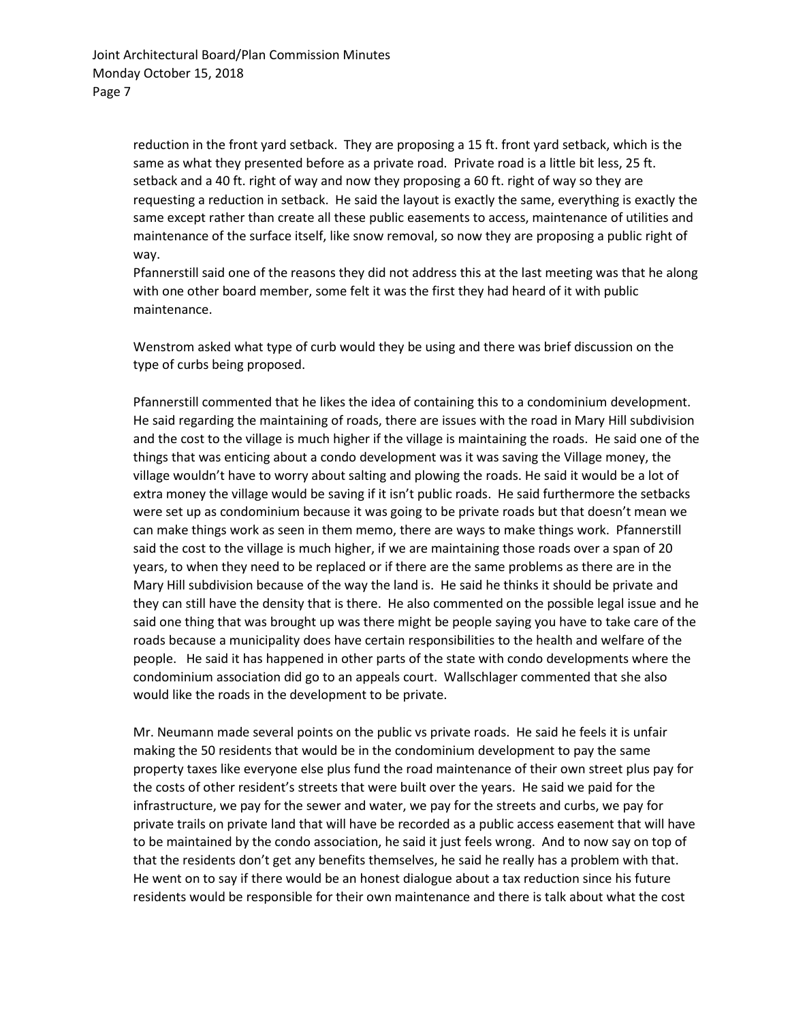reduction in the front yard setback. They are proposing a 15 ft. front yard setback, which is the same as what they presented before as a private road. Private road is a little bit less, 25 ft. setback and a 40 ft. right of way and now they proposing a 60 ft. right of way so they are requesting a reduction in setback. He said the layout is exactly the same, everything is exactly the same except rather than create all these public easements to access, maintenance of utilities and maintenance of the surface itself, like snow removal, so now they are proposing a public right of way.

Pfannerstill said one of the reasons they did not address this at the last meeting was that he along with one other board member, some felt it was the first they had heard of it with public maintenance.

Wenstrom asked what type of curb would they be using and there was brief discussion on the type of curbs being proposed.

Pfannerstill commented that he likes the idea of containing this to a condominium development. He said regarding the maintaining of roads, there are issues with the road in Mary Hill subdivision and the cost to the village is much higher if the village is maintaining the roads. He said one of the things that was enticing about a condo development was it was saving the Village money, the village wouldn't have to worry about salting and plowing the roads. He said it would be a lot of extra money the village would be saving if it isn't public roads. He said furthermore the setbacks were set up as condominium because it was going to be private roads but that doesn't mean we can make things work as seen in them memo, there are ways to make things work. Pfannerstill said the cost to the village is much higher, if we are maintaining those roads over a span of 20 years, to when they need to be replaced or if there are the same problems as there are in the Mary Hill subdivision because of the way the land is. He said he thinks it should be private and they can still have the density that is there. He also commented on the possible legal issue and he said one thing that was brought up was there might be people saying you have to take care of the roads because a municipality does have certain responsibilities to the health and welfare of the people. He said it has happened in other parts of the state with condo developments where the condominium association did go to an appeals court. Wallschlager commented that she also would like the roads in the development to be private.

Mr. Neumann made several points on the public vs private roads. He said he feels it is unfair making the 50 residents that would be in the condominium development to pay the same property taxes like everyone else plus fund the road maintenance of their own street plus pay for the costs of other resident's streets that were built over the years. He said we paid for the infrastructure, we pay for the sewer and water, we pay for the streets and curbs, we pay for private trails on private land that will have be recorded as a public access easement that will have to be maintained by the condo association, he said it just feels wrong. And to now say on top of that the residents don't get any benefits themselves, he said he really has a problem with that. He went on to say if there would be an honest dialogue about a tax reduction since his future residents would be responsible for their own maintenance and there is talk about what the cost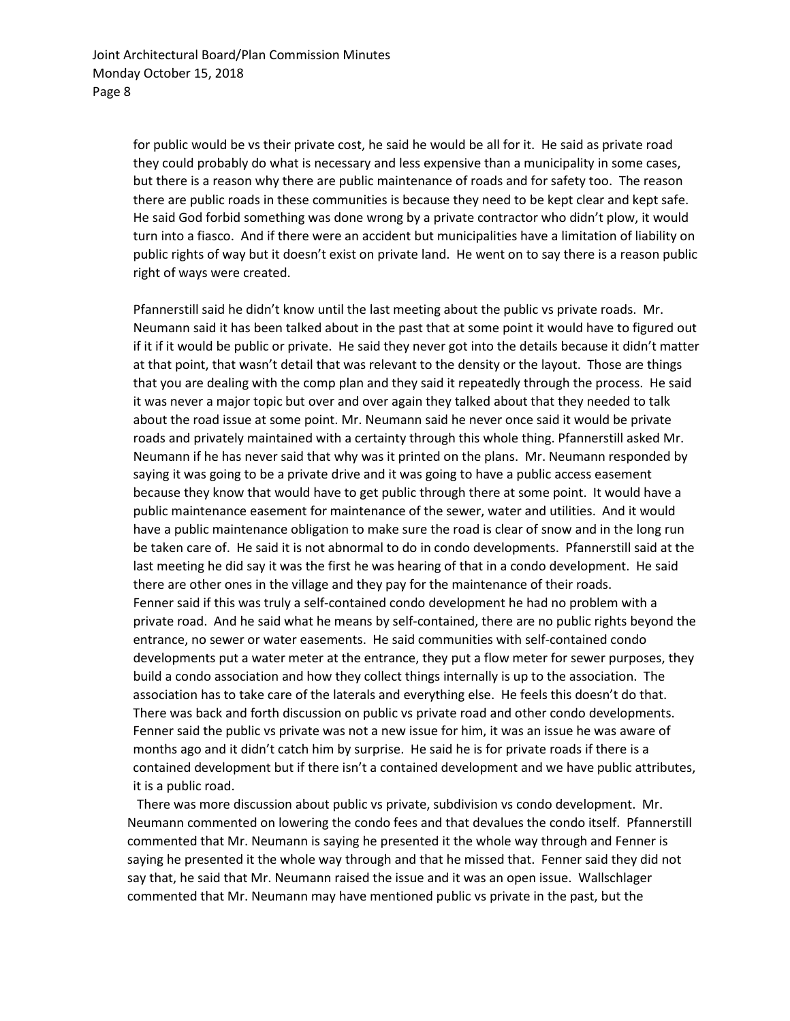for public would be vs their private cost, he said he would be all for it. He said as private road they could probably do what is necessary and less expensive than a municipality in some cases, but there is a reason why there are public maintenance of roads and for safety too. The reason there are public roads in these communities is because they need to be kept clear and kept safe. He said God forbid something was done wrong by a private contractor who didn't plow, it would turn into a fiasco. And if there were an accident but municipalities have a limitation of liability on public rights of way but it doesn't exist on private land. He went on to say there is a reason public right of ways were created.

Pfannerstill said he didn't know until the last meeting about the public vs private roads. Mr. Neumann said it has been talked about in the past that at some point it would have to figured out if it if it would be public or private. He said they never got into the details because it didn't matter at that point, that wasn't detail that was relevant to the density or the layout. Those are things that you are dealing with the comp plan and they said it repeatedly through the process. He said it was never a major topic but over and over again they talked about that they needed to talk about the road issue at some point. Mr. Neumann said he never once said it would be private roads and privately maintained with a certainty through this whole thing. Pfannerstill asked Mr. Neumann if he has never said that why was it printed on the plans. Mr. Neumann responded by saying it was going to be a private drive and it was going to have a public access easement because they know that would have to get public through there at some point. It would have a public maintenance easement for maintenance of the sewer, water and utilities. And it would have a public maintenance obligation to make sure the road is clear of snow and in the long run be taken care of. He said it is not abnormal to do in condo developments. Pfannerstill said at the last meeting he did say it was the first he was hearing of that in a condo development. He said there are other ones in the village and they pay for the maintenance of their roads. Fenner said if this was truly a self-contained condo development he had no problem with a private road. And he said what he means by self-contained, there are no public rights beyond the entrance, no sewer or water easements. He said communities with self-contained condo developments put a water meter at the entrance, they put a flow meter for sewer purposes, they build a condo association and how they collect things internally is up to the association. The association has to take care of the laterals and everything else. He feels this doesn't do that. There was back and forth discussion on public vs private road and other condo developments. Fenner said the public vs private was not a new issue for him, it was an issue he was aware of months ago and it didn't catch him by surprise. He said he is for private roads if there is a contained development but if there isn't a contained development and we have public attributes, it is a public road.

 There was more discussion about public vs private, subdivision vs condo development. Mr. Neumann commented on lowering the condo fees and that devalues the condo itself. Pfannerstill commented that Mr. Neumann is saying he presented it the whole way through and Fenner is saying he presented it the whole way through and that he missed that. Fenner said they did not say that, he said that Mr. Neumann raised the issue and it was an open issue. Wallschlager commented that Mr. Neumann may have mentioned public vs private in the past, but the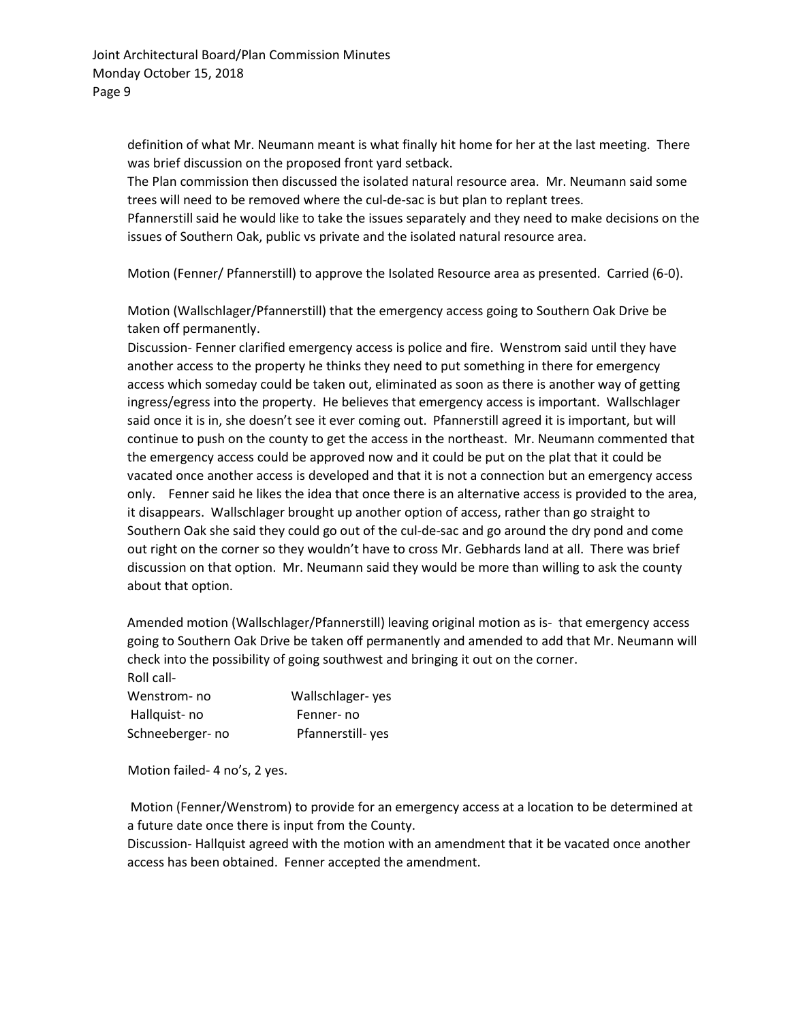definition of what Mr. Neumann meant is what finally hit home for her at the last meeting. There was brief discussion on the proposed front yard setback.

The Plan commission then discussed the isolated natural resource area. Mr. Neumann said some trees will need to be removed where the cul-de-sac is but plan to replant trees.

Pfannerstill said he would like to take the issues separately and they need to make decisions on the issues of Southern Oak, public vs private and the isolated natural resource area.

Motion (Fenner/ Pfannerstill) to approve the Isolated Resource area as presented. Carried (6-0).

Motion (Wallschlager/Pfannerstill) that the emergency access going to Southern Oak Drive be taken off permanently.

Discussion- Fenner clarified emergency access is police and fire. Wenstrom said until they have another access to the property he thinks they need to put something in there for emergency access which someday could be taken out, eliminated as soon as there is another way of getting ingress/egress into the property. He believes that emergency access is important. Wallschlager said once it is in, she doesn't see it ever coming out. Pfannerstill agreed it is important, but will continue to push on the county to get the access in the northeast. Mr. Neumann commented that the emergency access could be approved now and it could be put on the plat that it could be vacated once another access is developed and that it is not a connection but an emergency access only. Fenner said he likes the idea that once there is an alternative access is provided to the area, it disappears. Wallschlager brought up another option of access, rather than go straight to Southern Oak she said they could go out of the cul-de-sac and go around the dry pond and come out right on the corner so they wouldn't have to cross Mr. Gebhards land at all. There was brief discussion on that option. Mr. Neumann said they would be more than willing to ask the county about that option.

Amended motion (Wallschlager/Pfannerstill) leaving original motion as is- that emergency access going to Southern Oak Drive be taken off permanently and amended to add that Mr. Neumann will check into the possibility of going southwest and bringing it out on the corner. Roll call-

| Wenstrom- no    | Wallschlager-yes |
|-----------------|------------------|
| Hallquist-no    | Fenner-no        |
| Schneeberger-no | Pfannerstill-yes |

Motion failed- 4 no's, 2 yes.

Motion (Fenner/Wenstrom) to provide for an emergency access at a location to be determined at a future date once there is input from the County.

Discussion- Hallquist agreed with the motion with an amendment that it be vacated once another access has been obtained. Fenner accepted the amendment.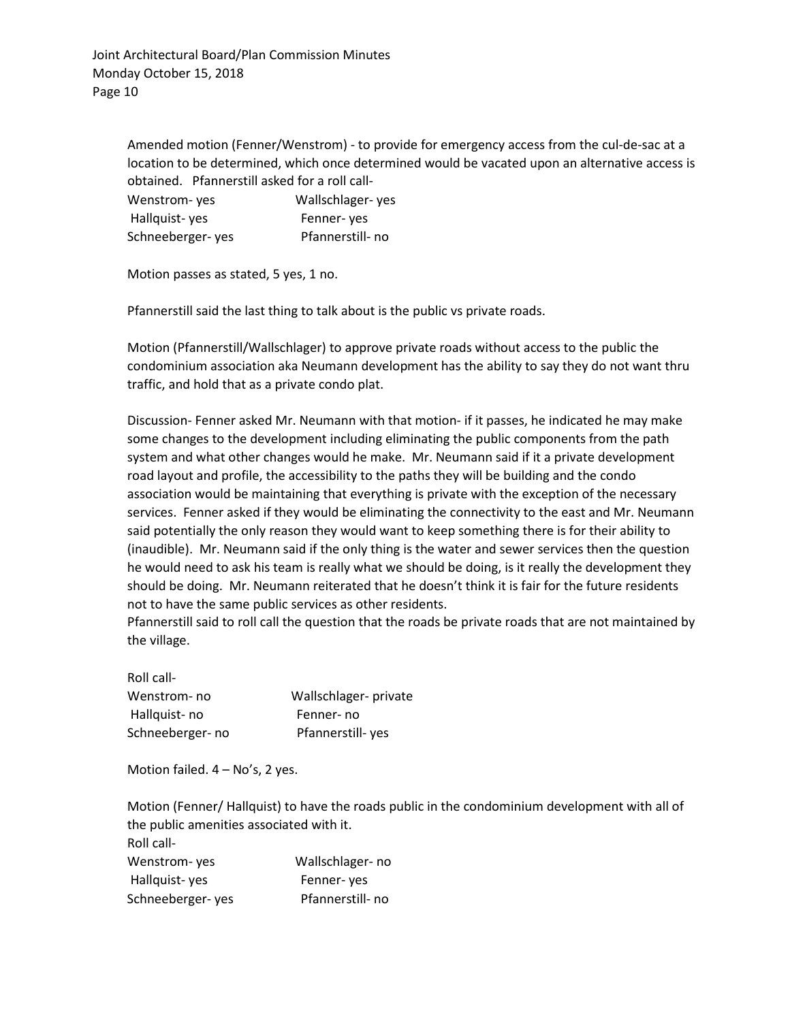Amended motion (Fenner/Wenstrom) - to provide for emergency access from the cul-de-sac at a location to be determined, which once determined would be vacated upon an alternative access is obtained. Pfannerstill asked for a roll call-

| Wenstrom-yes     | Wallschlager-yes |
|------------------|------------------|
| Hallquist-yes    | Fenner-yes       |
| Schneeberger-yes | Pfannerstill- no |

Motion passes as stated, 5 yes, 1 no.

Pfannerstill said the last thing to talk about is the public vs private roads.

Motion (Pfannerstill/Wallschlager) to approve private roads without access to the public the condominium association aka Neumann development has the ability to say they do not want thru traffic, and hold that as a private condo plat.

Discussion- Fenner asked Mr. Neumann with that motion- if it passes, he indicated he may make some changes to the development including eliminating the public components from the path system and what other changes would he make. Mr. Neumann said if it a private development road layout and profile, the accessibility to the paths they will be building and the condo association would be maintaining that everything is private with the exception of the necessary services. Fenner asked if they would be eliminating the connectivity to the east and Mr. Neumann said potentially the only reason they would want to keep something there is for their ability to (inaudible). Mr. Neumann said if the only thing is the water and sewer services then the question he would need to ask his team is really what we should be doing, is it really the development they should be doing. Mr. Neumann reiterated that he doesn't think it is fair for the future residents not to have the same public services as other residents.

Pfannerstill said to roll call the question that the roads be private roads that are not maintained by the village.

Roll call-Wenstrom- no Wallschlager- private Hallquist- no Fenner- no Schneeberger- no Pfannerstill- yes

Motion failed. 4 – No's, 2 yes.

Motion (Fenner/ Hallquist) to have the roads public in the condominium development with all of the public amenities associated with it. Roll call-

| Wenstrom- yes    | Wallschlager-no  |
|------------------|------------------|
| Hallquist-yes    | Fenner-yes       |
| Schneeberger-yes | Pfannerstill- no |